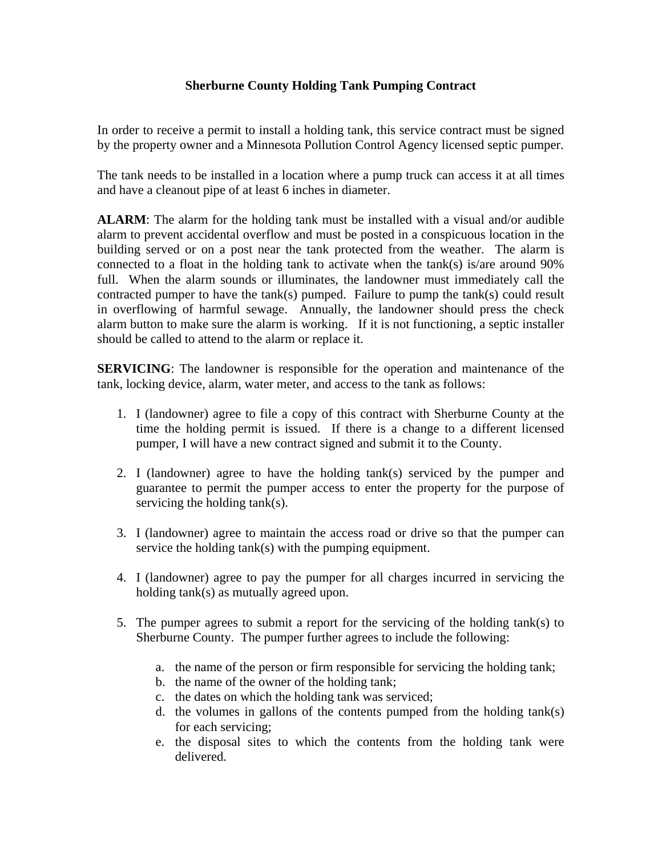## **Sherburne County Holding Tank Pumping Contract**

In order to receive a permit to install a holding tank, this service contract must be signed by the property owner and a Minnesota Pollution Control Agency licensed septic pumper.

The tank needs to be installed in a location where a pump truck can access it at all times and have a cleanout pipe of at least 6 inches in diameter.

**ALARM**: The alarm for the holding tank must be installed with a visual and/or audible alarm to prevent accidental overflow and must be posted in a conspicuous location in the building served or on a post near the tank protected from the weather. The alarm is connected to a float in the holding tank to activate when the tank(s) is/are around 90% full. When the alarm sounds or illuminates, the landowner must immediately call the contracted pumper to have the tank(s) pumped. Failure to pump the tank(s) could result in overflowing of harmful sewage. Annually, the landowner should press the check alarm button to make sure the alarm is working. If it is not functioning, a septic installer should be called to attend to the alarm or replace it.

**SERVICING**: The landowner is responsible for the operation and maintenance of the tank, locking device, alarm, water meter, and access to the tank as follows:

- 1. I (landowner) agree to file a copy of this contract with Sherburne County at the time the holding permit is issued. If there is a change to a different licensed pumper, I will have a new contract signed and submit it to the County.
- 2. I (landowner) agree to have the holding tank(s) serviced by the pumper and guarantee to permit the pumper access to enter the property for the purpose of servicing the holding tank(s).
- 3. I (landowner) agree to maintain the access road or drive so that the pumper can service the holding tank(s) with the pumping equipment.
- 4. I (landowner) agree to pay the pumper for all charges incurred in servicing the holding tank(s) as mutually agreed upon.
- 5. The pumper agrees to submit a report for the servicing of the holding tank(s) to Sherburne County. The pumper further agrees to include the following:
	- a. the name of the person or firm responsible for servicing the holding tank;
	- b. the name of the owner of the holding tank;
	- c. the dates on which the holding tank was serviced;
	- d. the volumes in gallons of the contents pumped from the holding tank(s) for each servicing;
	- e. the disposal sites to which the contents from the holding tank were delivered.